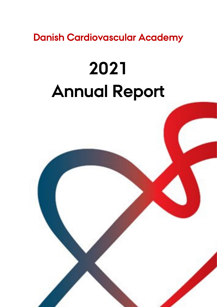**Danish Cardiovascular Academy**

# **2021 Annual Report**

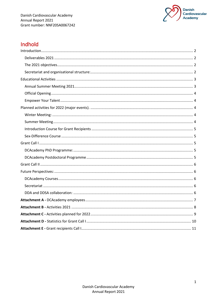

# Indhold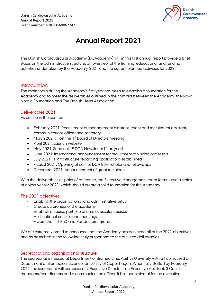

# **Annual Report 2021**

The Danish Cardiovascular Academy (DCAcademy) will in this first annual report provide a brief status on the administrative structure, an overview of the training, educational and funding activities undertaken by the Academy 2021 and the current planned activities for 2022.

# <span id="page-2-0"></span>**Introduction**

The main focus during the Academy's first year has been to establish a foundation for the Academy and to meet the deliverables outlined in the contract between the Academy, the Novo Nordic Foundation and The Danish Heart Association.

# <span id="page-2-1"></span>Deliverables 2021

As outline in the contract,

- February 2021: Recruitment of management assistant, talent and recruitment assistant, communications officer and secretary
- March 2021: Host the 1<sup>st</sup> Board of Directors meeting
- April 2021: Launch website
- May 2021: Send out 1<sup>st</sup> DCA Newsletter (4 pr. year)
- June 2021: International announcement for recruitment of visiting professors
- July 2021: IT infrastructure regarding applications established
- August 2021: Opening of call for DCA Elite scholar and fellowships
- December 2021: Announcement of grant recipients

With the deliverables as point of reference, the Executive Management team formulated a series of objectives for 2021, which should create a solid foundation for the Academy.

# <span id="page-2-2"></span>The 2021 objectives

- Establish the organisational and administrative setup
- Create awareness of the academy
- Establish a course portfolio of cardiovascular courses
- Host national courses and meetings
- Award the first PhD and Postdoctoral grants

We are extremely proud to announce that the Academy has achieved all of the 2021 objectives and as described in the following, truly outperformed the outlined deliverables.

# <span id="page-2-3"></span>Secretariat and organisational structure:

The secretariat is housed at Department of Biomedicine, Aarhus University with a hub housed at Department of Biomedical Science, University of Copenhagen. When fully staffed by February 2022, the secretariat will comprise of 2 Executive Directors, an Executive Assistant, 3 Course managers/coordinators and a communication officer. It has been pivotal for the executive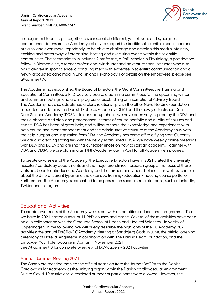

management team to put together a secretariat of different, yet relevant and synergistic, competences to ensure the Academy's ability to support the traditional scientific modus operandi, but also, and even more importantly, to be able to challenge and develop this modus into new, exciting and better ways of organising, hosting and executing events within the scientific communities. The secretariat thus includes 2 professors, a PhD-scholar in Physiology, a postdoctoral fellow in Biomedicine, a former professional windsurfer and adventure sport instructor, who also has a degree in sport science, a cand.ling.merc with expertise in scientific communication and a newly graduated cand.mag in English and Psychology. For details on the employees, please see attachment A.

The Academy has established the Board of Directors, the Grant Committee, the Training and Educational Committee, a PhD-advisory board, organizing committees for the upcoming winter and summer meetings, and are in progress of establishing an International Advisory Board. The Academy has also established a close relationship with the other Novo Nordisk Foundation supported academies, the Danish Diabetes Academy (DDA) and the newly established Danish Data Science Academy (DDSA). In our start-up phase, we have been very inspired by the DDA and their elaborate and high-end performance in terms of course portfolio and quality of courses and events. DDA has been of great help, and willing to share their knowledge and experiences with both course and event management and the administrative structure of the Academy, thus, with the help, support and inspiration from DDA, the Academy has come off to a flying start. Currently we are also creating strong ties with the newly established DDSA. We have weekly online meetings with DDA and DDSA and are sharing our experiences on how to start an academy. Together with DDA and DDSA, we are planning an NNF-Academy day in April for all Academy employees.

To create awareness of the Academy, the Executive Directors have in 2021 visited the university hospitals' cardiology departments and the major pre-clinical research groups. The focus of these visits has been to introduce the Academy and the mission and visions behind it, as well as to inform about the different grant types and the extensive training/education/meeting course portfolio. Furthermore, the Academy is committed to be present on social media platforms, such as LinkedIn, Twitter and Instagram.

# <span id="page-3-0"></span>Educational Activities

To create awareness of the Academy we set out with an ambitious educational programme. Thus, we have in 2021 hosted a total of 11 PhD-courses and events. Several of these activities have been held in collaboration with the Graduate School of Health and Medical Sciences, University of Copenhagen. In the following, we will briefly describe the highlights of the DCAcademy 2021 activities: the annual DaCRa/DCAcademy Meeting at Sandbjerg Gods in June, the official opening ceremony at Hotel d´Angleterre in collaboration with The Danish Heart Foundation, and the Empower Your Talent-course in Aarhus in November 2021.

See Attachment B for complete overview of DCAcademy 2021 activities.

# <span id="page-3-1"></span>Annual Summer Meeting 2021

The Sandbjerg meeting marked the official transition from the former DaCRA to the Danish Cardiovascular Academy as the unifying organ within the Danish cardiovascular environment. Due to Covid-19 restrictions, a restricted number of participants were allowed. However, the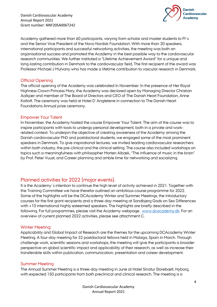Danish Cardiovascular Academy Annual Report 2021 Grant number: NNF20SA0067242



Academy gathered more than 60 participants, varying from scholar and master students to PI´s and the Senior Vice President of the Novo Nordisk Foundation. With more than 20 speakers, international participants and successful networking activities, the meeting was both an organisational success and promoted the Academy in the best possible way to the cardiovascular research communities. We further instituted a "Lifetime Achievement Award" for a unique and long-lasting contribution in Denmark to the cardiovascular field. The first recipient of the award was Professor Michael J Mulvany who has made a lifetime contribution to vascular research in Denmark.

#### <span id="page-4-0"></span>Official Opening

The official opening of the Academy was celebrated In November. In the presence of Her Royal Highness Crown Princess Mary, the Academy was declared open by Managing Director Christian Aalkjær and member of The Board of Directors and CEO of The Danish Heart Foundation, Anne Kaltoft. The ceremony was held at Hotel D´Angleterre in connection to The Danish Heart Foundations Annual prize ceremony.

#### <span id="page-4-1"></span>Empower Your Talent

In November, the Academy hosted the course Empower Your Talent. The aim of the course was to inspire participants with tools to undergo personal development, both in a private and workrelated context. To underpin the objective of creating awareness of the Academy among the Danish cardiovascular PhD and postdoctoral students, we engaged some of the most prominent speakers in Denmark. To give inspirational lectures, we invited leading cardiovascular researchers within both industry, the pre-clinical and the clinical setting. The course also included workshops on topics such a meaningfulness with philosopher Morten Albæk, "The influence of music in the brain" by Prof. Peter Vuust, and Career planning and amble time for networking and socializing.

# <span id="page-4-2"></span>Planned activities for 2022 (major events).

It is the Academy´s intention to continue the high level of activity achieved in 2021. Together with the Training Committee we have therefor outlined an ambitious course programme for 2022. Some of the highlights will be the DCAcademy Winter and Summer Meetings, the introductory courses for the first grant recipients and a three-day meeting at Sandbjerg Gods on Sex Differences with +10 international highly esteemed speakers. The highlights are briefly described in the following. For full programmes, please visit the Academy webpage. [www.dcacademy.dk.](http://www.dcacademy.dk/) For an overview of current planned 2022 activities, please see attachment C.

## <span id="page-4-3"></span>Winter Meeting:

Applicability and Global Impact of Research are the themes for the upcoming DCAcademy Winter Meeting. A four-day meeting for 32 postdoctoral fellows held in Malaga, Spain in March. Through challenge work, scientific sessions and workshops, the meeting will give the participants a broader perspective on global scientific impact and applicability of their research, as well as increase their transferable skills within publication, communication, presentation and career development.

#### <span id="page-4-4"></span>Summer Meeting

The Annual Summer Meeting is a three-day meeting in June at Hotel Sinatur Storebælt, Nyborg, with expected 150 participants from both preclinical and clinical research. The meeting is a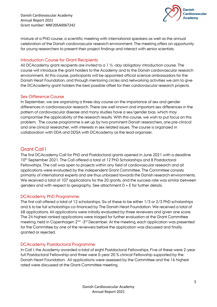Danish Cardiovascular Academy Annual Report 2021 Grant number: NNF20SA0067242



mixture of a PhD course, a scientific meeting with international speakers as well as the annual celebration of the Danish cardiovascular research environment. The meeting offers an opportunity for young researchers to present their project findings and interact with senior scientists.

# <span id="page-5-0"></span>Introduction Course for Grant Recipients

All DCAcademy grant recipients are invited to a 1 ½ -day obligatory introduction course. The course will introduce the grant holders to the Academy and to the Danish cardiovascular research environment. At this course, participants will be appointed official science ambassadors for the Danish Heart Foundation, and through mentoring circles and networking activities we aim to give the DCAcademy grant holders the best possible offset for their cardiovascular research projects.

#### <span id="page-5-1"></span>Sex-Difference Course

In September, we are organizing a three-day course on the importance of sex and gender differences in cardiovascular research. There are well known and important sex differences in the pattern of cardiovascular disease and many studies have a sex/gender bias, which may compromise the applicability of the research results. With this course, we wish to put focus on this problem. The course programme is set up by two prominent Danish researchers, one pre-clinical and one clinical researcher, with interests in sex related issues. The course is organized in collaboration with DDA and DDSA with DCAcademy as the lead organizer.

# <span id="page-5-2"></span>Grant Call I

The first DCAcademy Call for PhD and Postdoctoral grants opened in June 2021 with a deadline 10<sup>th</sup> September 2021. The Call offered a total of 12 PhD Scholarships and 8 Postdoctoral Fellowships. The call was open to projects within any field of cardiovascular research and all applications were evaluated by the independent Grant Committee. The Committee consists primarily of international experts and are thus unbiased towards the Danish research environments. We received a total of 107 applications for the 20 grants, and the success rate was similar between genders and with respect to geography. See attachment D + E for further details.

## <span id="page-5-3"></span>DCAcademy PhD Programme:

The first call offered a total of 12 scholarships. Six of these to be either 1/3 or 2/3 PhD scholarships and 6 to be full scholarships co-financed by The Danish Heart Foundation. We received a total of 68 applications. All applications were initially evaluated by three reviewers and given one score. The 24 highest ranked applications were triaged for further evaluation at the Grant Committee meeting, held in Copenhagen 2<sup>nd</sup> -3<sup>rd</sup> December. At the meeting, each application was presented for the Committee by one of the reviewers before the application was discussed and finally granted or rejected.

## <span id="page-5-4"></span>DCAcademy Postdoctoral Programme

In Call I, the Academy awarded a total of eight Postdoctoral Fellowships. Five of these were 2-year full Postdoctoral Fellowship and three were 5-year 20 % clinical Fellowship supported by the Danish Heart Foundation. All applications were assessed by the Committee and the 16 highest rated were discussed at the Grant Committee meeting.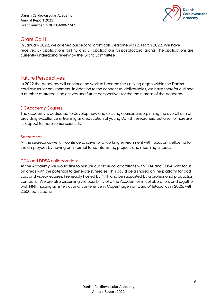Danish Cardiovascular Academy Annual Report 2021 Grant number: NNF20SA0067242



# <span id="page-6-0"></span>Grant Call II

In January 2022, we opened our second grant call. Deadline was 2. March 2022. We have received 87 applications for PhD and 51 applications for postdoctoral grants. The applications are currently undergoing review by the Grant Committee.

# <span id="page-6-1"></span>Future Perspectives:

In 2022 the Academy will continue the work to become the unifying organ within the Danish cardiovascular environment. In addition to the contractual deliverables, we have therefor outlined a number of strategic objectives and future perspectives for the main areas of the Academy.

# <span id="page-6-2"></span>DCAcademy Courses

The academy is dedicated to develop new and exciting courses underpinning the overall aim of providing excellence in training and education of young Danish researchers, but also, to increase its appeal to more senior scientists.

# <span id="page-6-3"></span>**Secretariat**

At the secretariat we will continue to strive for a working environment with focus on wellbeing for the employees by having an informal tone, interesting projects and meaningful tasks.

## <span id="page-6-4"></span>DDA and DDSA collaboration:

At the Academy we would like to nurture our close collaborations with DDA and DDSA with focus on areas with the potential to generate synergies. This could be a shared online platform for pod cast and video-lectures. Preferably hosted by NNF and be supported by a professional production company. We are also discussing the possibility of a the Academies in collaboration, and together with NNF, hosting an international conference in Copenhagen on CardioMetabolics in 2025, with 2,500 participants.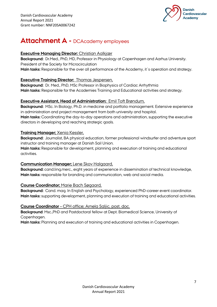

# <span id="page-7-0"></span>**Attachment A -** DCAcademy employees

# **Executive Managing Director:** Christian Aalkjær

**Background:** Dr.Med., PhD, MD, Professor in Physiology at Copenhagen and Aarhus University. President of the Society for Microcirculation **Main tasks:** Responsible for the over all performance of the Academy, it´s operation and strategy.

# **Executive Training Director:** Thomas Jespersen,

**Background:** Dr. Med., PhD, MSc Professor in Biophysics of Cardiac Arrhythmia **Main tasks:** Responsible for the Academies Training and Educational activities and strategy.

# **Executive Assistant, Head of Administration:** Emil Toft Brøndum,

**Background:** MSc. In Biology, Ph.D. in medicine and portfolio management. Extensive experience in administration and project management from both university and hospital. **Main tasks:** Coordinating the day-to-day operations and administration, supporting the executive directors in developing and reaching strategic goals.

# **Training Manager;** Xenia Kessler,

**Background:** Journalist, BA physical education, former professional windsurfer and adventure sport instructor and training manager at Danish Sail Union.

**Main tasks:** Responsible for development, planning and execution of training and educational activities.

## **Communication Manager;** Lene Skov Halgaard,

**Background:** cand.ling.merc., eight years of experience in dissemination of technical knowledge, **Main tasks:** responsible for branding and communication, web and social media.

## **Course Coordinator;** Marie Bach Søgaard,

**Background:** Cand. mag. In English and Psychology, experienced PhD-career event coordinator. **Main tasks:** supporting development, planning and execution of training and educational activities.

## **Course Coordinator** – CPH office; Arnela Saljic, post. doc.

**Background**: Msc.,PhD and Postdoctoral fellow at Dept. Biomedical Science, University of Copenhagen.

**Main tasks:** Planning and execution of training and educational activities in Copenhagen.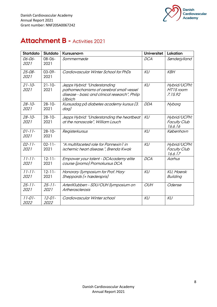



# <span id="page-8-0"></span>**Attachment B -** Activities 2021

| <b>Startdato</b>    | <b>Slutdato</b>     | Kursusnavn                                                                                                                            | <b>Universitet</b> | Lokation                                       |
|---------------------|---------------------|---------------------------------------------------------------------------------------------------------------------------------------|--------------------|------------------------------------------------|
| 06-06-<br>2021      | $08 - 06 -$<br>2021 | Sommermøde                                                                                                                            | <b>DCA</b>         | Sønderjylland                                  |
| $25 - 08 -$<br>2021 | $03 - 09 -$<br>2021 | Cardiovascular Winter School for PhDs                                                                                                 | KU                 | <b>KBH</b>                                     |
| $21 - 10 -$<br>2021 | $21 - 10 -$<br>2021 | Jepps Hybrid: "Understanding<br>pathomechanisms of cerebral small vessel<br>disease - basic and clinical research", Philip<br>Ulbrich | KU                 | Hybrid/UCPH:<br>MT15 room<br>7.15.92           |
| $28 - 10 -$<br>2021 | $28 - 10 -$<br>2021 | Kursusdag på diabetes academy kursus (3.<br>dag)                                                                                      | <b>DDA</b>         | Nyborg                                         |
| $28 - 10 -$<br>2021 | $28 - 10 -$<br>2021 | Jepps Hybrid: "Understanding the heartbeat<br>at the nanoscale", William Louch                                                        | KU                 | Hybrid/UCPH:<br><b>Faculty Club</b><br>16.6.16 |
| $01 - 11 -$<br>2021 | $28 - 10 -$<br>2021 | Registerkursus                                                                                                                        | KU                 | København                                      |
| $02 - 11 -$<br>2021 | $02 - 11 -$<br>2021 | "A multifaceted role for Pannexin 1 in<br>ischemic heart disease.", Brenda Kwak                                                       | KU                 | Hybrid/UCPH:<br><b>Faculty Club</b><br>16.6.17 |
| $11 - 11 -$<br>2021 | $12 - 11 -$<br>2021 | Empower your talent - DCAcademy elite<br>course (promo) Promokursus DCA                                                               | <b>DCA</b>         | Aarhus                                         |
| $11 - 11 -$<br>2021 | $12 - 11 -$<br>2021 | Honorary Symposium for Prof. Mary<br>Sheppards (+ hæderspris)                                                                         | KU                 | <b>KU, Maersk</b><br>Building                  |
| $25 - 11$<br>2021   | $25 - 11$<br>2021   | ArteriKlubben - SDU/OUH Symposium on<br>Artherosclerosis                                                                              | <b>OUH</b>         | Odense                                         |
| $11 - 01 -$<br>2022 | $12 - 01 -$<br>2022 | Cardiovascular Winter school                                                                                                          | KU                 | KU                                             |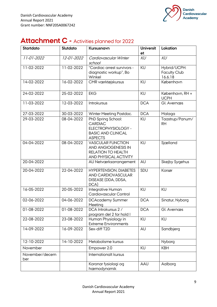

# <span id="page-9-0"></span>**Attachment C -** Activities planned for 2022

| <b>Startdato</b>      | Slutdato                 | Kursusnavn                                                                                                   | <b>Universit</b> | Lokation                                       |
|-----------------------|--------------------------|--------------------------------------------------------------------------------------------------------------|------------------|------------------------------------------------|
|                       |                          |                                                                                                              | et               |                                                |
| 11-01-2022            | 12-01-2022               | Cardiovascular Winter<br>school                                                                              | KU               | KU                                             |
| 11-02-2022            | 11-02-2022               | "Cardiac arrest survivors -<br>diagnostic workup", Bo<br>Winkel                                              | KU               | Hybrid/UCPH:<br><b>Faculty Club</b><br>16.6.18 |
| 14-02-2022            | 16-02-2022               | CMR værktøjskursus                                                                                           | KU               | København                                      |
| 24-02-2022            | 25-02-2022               | <b>EKG</b>                                                                                                   | KU               | København, RH +<br><b>UCPH</b>                 |
| 11-03-2022            | 12-03-2022               | Introkursus                                                                                                  | <b>DCA</b>       | Gl. Avernæs                                    |
| 27-03-2022            | 30-03-2022               | Winter Meeting Postdoc.                                                                                      | <b>DCA</b>       | Malaga                                         |
| 29-03-2022            | 08-04-2022               | PhD Spring School:<br><b>CARDIAC</b><br>ELECTROPHYSIOLOGY -<br><b>BASIC AND CLINICAL</b><br><b>ASPECTS</b>   | KU               | Taastrup/Panum/<br><b>RH</b>                   |
| 04-04-2022            | 08-04-2022               | <b>VASCULAR FUNCTION</b><br><b>AND ANGIOGENESIS IN</b><br><b>RELATION TO HEALTH</b><br>AND PHYSICAL ACTIVITY | KU               | Sjælland                                       |
| 20-04-2022            |                          | AU Netværksarrangement                                                                                       | AU               | <b>Skejby Sygehus</b>                          |
| 20-04-2022            | 22-04-2022               | <b>HYPERTENSION, DIABETES</b><br>AND CARDIOVASCULAR<br>DISEASE (DDA, DDSA,<br>DCA)                           | SDU              | Korsør                                         |
| 16-05-2022            | 20-05-2022               | Integrative Human<br>Cardiovascular Control                                                                  | KU               | KU                                             |
| 02-06-2022            | 04-06-2022               | <b>DCAcademy Summer</b><br>Meeting                                                                           | <b>DCA</b>       | Sinatur, Nyborg                                |
| 01-08-2022            | $\overline{0}$ 1-08-2022 | DCA Introkursus 2 /<br>program del 2 for hold I                                                              | <b>DCA</b>       | Gl. Avernæs                                    |
| 22-08-2022            | 23-08-2022               | Human Physiology in<br><b>Extreme Environments</b>                                                           | KU               | KU                                             |
| 14-09-2022            | 16-09-2022               | Sex-diff T2D                                                                                                 | AU               | Sandbjerg                                      |
| 12-10-2022            | 14-10-2022               | Metabolisme kursus                                                                                           |                  | Nyborg                                         |
| November              |                          | Empower 2.0                                                                                                  | KU               | <b>KBH</b>                                     |
| November/decem<br>ber |                          | Internationalt kursus                                                                                        |                  |                                                |
|                       |                          | Koronar fysiologi og<br>hæmodynamik                                                                          | <b>AAU</b>       | Aalborg                                        |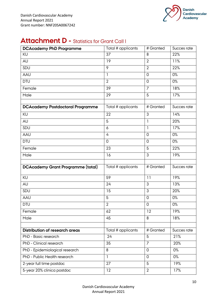

# <span id="page-10-0"></span>**Attachment D - Statistics for Grant Call I**

| <b>DCAcademy PhD Programme</b>                         | Total # applicants | # Granted                        | Succes rate |
|--------------------------------------------------------|--------------------|----------------------------------|-------------|
| KU                                                     | 37                 | 8                                | 22%         |
| AU                                                     | 19                 | $\overline{2}$                   | 11%         |
| SDU                                                    | 9                  | $\overline{2}$                   | 22%         |
| AAU                                                    | 1                  | $\overline{0}$                   | 0%          |
| <b>DTU</b>                                             | $\overline{2}$     | $\overline{0}$                   | 0%          |
| Female                                                 | 39                 | $\overline{7}$                   | 18%         |
| Male                                                   | 29                 | 5                                | 17%         |
|                                                        |                    |                                  |             |
| <b>DCAcademy Postdoctoral Programme</b>                | Total # applicants | # Granted                        | Succes rate |
| KU                                                     | 22                 | 3                                | 14%         |
| AU                                                     | 5                  | $\mathbf{1}$                     | 20%         |
| SDU                                                    | 6                  | $\overline{1}$                   | 17%         |
| AAU                                                    | 4                  | $\overline{0}$                   | 0%          |
| <b>DTU</b>                                             | $\overline{0}$     | $\overline{0}$                   | 0%          |
| Female                                                 | 23                 | 5                                | 22%         |
| Male                                                   | 16                 | 3                                | 19%         |
|                                                        |                    |                                  |             |
| <b>DCAcademy Grant Programme (total)</b>               | Total # applicants | # Granted                        | Succes rate |
| KU                                                     | 59                 | 11                               | 19%         |
| AU                                                     | 24                 | 3                                | 13%         |
| SDU                                                    | 15                 | 3                                | 20%         |
| AAU                                                    | 5                  | $\overline{0}$                   | 0%          |
| <b>DTU</b>                                             | $\overline{2}$     | $\mathbf 0$                      | 0%          |
| Female                                                 | 62                 | 12                               | 19%         |
| Male                                                   | 45                 | 8                                | 18%         |
|                                                        |                    |                                  |             |
| <b>Distribution of research areas</b>                  | Total # applicants | # Granted                        | Succes rate |
| PhD - Basic research                                   | 24                 | 5                                | 21%         |
| PhD - Clinical research                                | 35                 | $\overline{7}$                   | 20%         |
| PhD - Epidemiological research                         | 8                  | 0                                | 0%          |
| PhD - Public Health research                           | 1                  | $\overline{0}$                   | $0\%$       |
| 2-year full time postdoc<br>5-year 20% clinica postdoc | 27<br>12           | $\overline{5}$<br>$\overline{2}$ | 19%<br>17%  |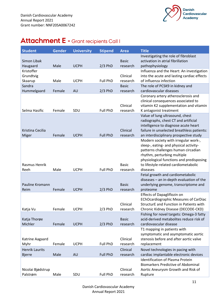

# <span id="page-11-0"></span>**Attachment E -** Grant recipients Call I

| <b>Student</b>        | <b>Gender</b> | <b>University</b> | <b>Stipend</b>  | <b>Area</b>  | <b>Title</b>                                                                         |
|-----------------------|---------------|-------------------|-----------------|--------------|--------------------------------------------------------------------------------------|
|                       |               |                   |                 |              | Investigating the role of fibroblast                                                 |
| Simon Libak           |               |                   |                 | <b>Basic</b> | activation in atrial fibrillation                                                    |
| Haugaard              | Male          | <b>UCPH</b>       | $2/3$ PhD       | research     | pathophysiology                                                                      |
| Kristoffer            |               |                   |                 | Clinical     | Influenza and the Heart: An investigation                                            |
| Grundtvig<br>Skaarup  | Male          | <b>UCPH</b>       | <b>Full PhD</b> | research     | into the acute and lasting cardiac effects<br>of influenza infection                 |
| Sandra                |               |                   |                 | <b>Basic</b> | The role of PCSK9 in kidney and                                                      |
| Hummelgaard           | Female        | AU                | $2/3$ PhD       | research     | cardiovascular diseases                                                              |
|                       |               |                   |                 |              | Coronary artery atherosclerosis and                                                  |
|                       |               |                   |                 |              | clinical consequences associated to                                                  |
|                       |               |                   |                 | Clinical     | vitamin K2 supplementation and vitamin                                               |
| Selma Hasific         | Female        | SDU               | <b>Full PhD</b> | research     | K antagonist treatment                                                               |
|                       |               |                   |                 |              | Value of lung ultrasound, chest                                                      |
|                       |               |                   |                 |              | radiographs, chest CT and artificial                                                 |
|                       |               |                   |                 |              | intelligence to diagnose acute heart                                                 |
| Kristina Cecilia      | Female        |                   | <b>Full PhD</b> | Clinical     | failure in unselected breathless patients:                                           |
| Miger                 |               | <b>UCPH</b>       |                 | research     | an interdisciplinary prospective study<br>Modern society with irregular work-,       |
|                       |               |                   |                 |              | sleep-, eating- and physical activity-                                               |
|                       |               |                   |                 |              | patterns challenges human circadian                                                  |
|                       |               |                   |                 |              | rhythm, perturbing multiple                                                          |
|                       |               |                   |                 |              | physiological functions and predisposing                                             |
| <b>Rasmus Henrik</b>  |               |                   |                 | <b>Basic</b> | to lifestyle-related cardiometabolic                                                 |
| Reeh                  | Male          | <b>UCPH</b>       | Full PhD        | research     | diseases                                                                             |
|                       |               |                   |                 |              | Fetal growth and cardiometabolic                                                     |
|                       |               |                   |                 |              | diseases - an in-depth evaluation of the                                             |
| Pauline Kromann       |               |                   |                 | <b>Basic</b> | underlying genome, transcriptome and                                                 |
| Reim                  | Female        | <b>UCPH</b>       | $2/3$ PhD       | research     | proteome                                                                             |
|                       |               |                   |                 |              | <b>Effects of Dapagliflozin on</b><br><b>EChOcardiographic Measures of CarDiac</b>   |
|                       |               |                   |                 | Clinical     | StructurE and Function in Patients with                                              |
| Katja Vu              | Female        | <b>UCPH</b>       | $2/3$ PhD       | research     | Chronic Kidney Disease (DECODE-CKD)                                                  |
|                       |               |                   |                 |              | Fishing for novel targets: Omega-3 fatty                                             |
| Katja Thorøe          |               |                   |                 | <b>Basic</b> | acid-derived metabolites reduce risk of                                              |
| Michler               | Female        | <b>UCPH</b>       | $2/3$ PhD       | research     | cardiovascular disease                                                               |
|                       |               |                   |                 |              | T1 mapping in patients with                                                          |
|                       |               |                   |                 |              | symptomatic and asymptomatic aortic                                                  |
| Katrine Aagaard       |               |                   |                 | Clinical     | stenosis before and after aortic valve                                               |
| Myhr                  | Female        | <b>UCPH</b>       | <b>Full PhD</b> | research     | replacement                                                                          |
| <b>Henrik Laurits</b> |               |                   |                 | Clinical     | Novel technologies in pacing with                                                    |
| <b>Bjerre</b>         | Male          | AU                | <b>Full PhD</b> | research     | cardiac implantable electronic devices                                               |
|                       |               |                   |                 |              | <b>Identification of Plasma Protein</b><br><b>Biomarkers Predictive of Abdominal</b> |
| Nicolai Bjødstrup     |               |                   |                 | Clinical     | Aortic Aneurysm Growth and Risk of                                                   |
| Palstrøm              | Male          | SDU               | Full PhD        | research     | Rupture                                                                              |
|                       |               |                   |                 |              |                                                                                      |